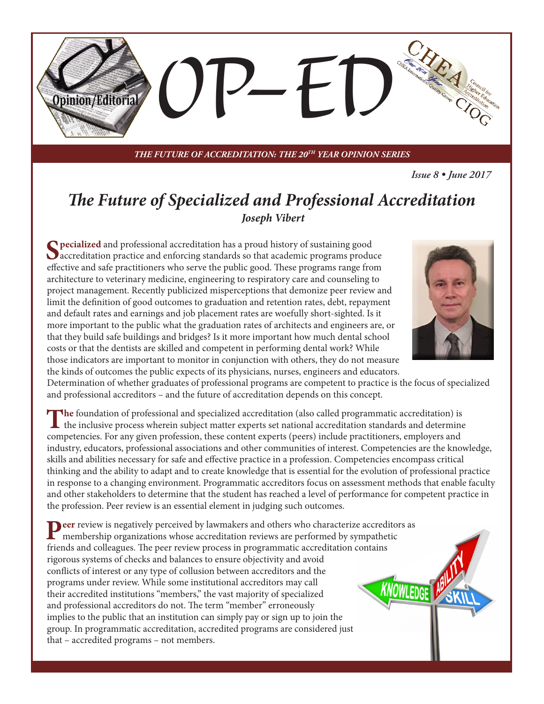

*THE FUTURE OF ACCREDITATION: THE 20TH YEAR OPINION SERIES*

*Issue 8 • June 2017*

## *The Future of Specialized and Professional Accreditation Joseph Vibert*

**Specialized** and professional accreditation has a proud history of sustaining good<br>accreditation practice and enforcing standards so that academic programs produce effective and safe practitioners who serve the public good. These programs range from architecture to veterinary medicine, engineering to respiratory care and counseling to project management. Recently publicized misperceptions that demonize peer review and limit the definition of good outcomes to graduation and retention rates, debt, repayment and default rates and earnings and job placement rates are woefully short-sighted. Is it more important to the public what the graduation rates of architects and engineers are, or that they build safe buildings and bridges? Is it more important how much dental school costs or that the dentists are skilled and competent in performing dental work? While those indicators are important to monitor in conjunction with others, they do not measure the kinds of outcomes the public expects of its physicians, nurses, engineers and educators.



Determination of whether graduates of professional programs are competent to practice is the focus of specialized and professional accreditors – and the future of accreditation depends on this concept.

The foundation of professional and specialized accreditation (also called programmatic accreditation) is<br>the inclusive process wherein subject matter experts set national accreditation standards and determine competencies. For any given profession, these content experts (peers) include practitioners, employers and industry, educators, professional associations and other communities of interest. Competencies are the knowledge, skills and abilities necessary for safe and effective practice in a profession. Competencies encompass critical thinking and the ability to adapt and to create knowledge that is essential for the evolution of professional practice in response to a changing environment. Programmatic accreditors focus on assessment methods that enable faculty and other stakeholders to determine that the student has reached a level of performance for competent practice in the profession. Peer review is an essential element in judging such outcomes.

**Peer** review is negatively perceived by lawmakers and others who characterize accreditors as membership organizations whose accreditation reviews are performed by sympathetic friends and colleagues. The peer review process in programmatic accreditation contains rigorous systems of checks and balances to ensure objectivity and avoid conflicts of interest or any type of collusion between accreditors and the programs under review. While some institutional accreditors may call their accredited institutions "members," the vast majority of specialized and professional accreditors do not. The term "member" erroneously implies to the public that an institution can simply pay or sign up to join the group. In programmatic accreditation, accredited programs are considered just that – accredited programs – not members.